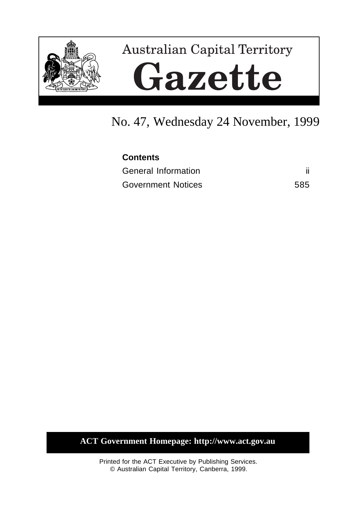

# No. 47, Wednesday 24 November, 1999

| <b>Contents</b>           |     |
|---------------------------|-----|
| General Information       |     |
| <b>Government Notices</b> | 585 |

**ACT Government Homepage: http://www.act.gov.au**

Printed for the ACT Executive by Publishing Services. © Australian Capital Territory, Canberra, 1999.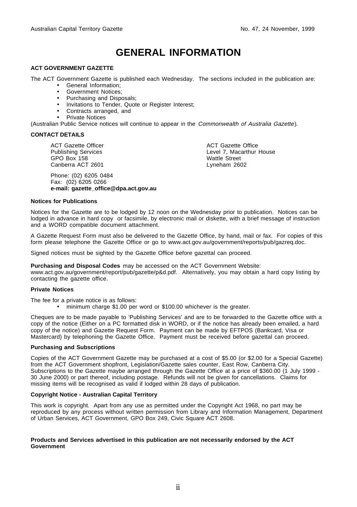# **GENERAL INFORMATION**

#### **ACT GOVERNMENT GAZETTE**

The ACT Government Gazette is published each Wednesday. The sections included in the publication are:

- General Information;
- Government Notices;
- Purchasing and Disposals;
- Invitations to Tender, Quote or Register Interest;
- Contracts arranged, and
- Private Notices

(Australian Public Service notices will continue to appear in the Commonwealth of Australia Gazette).

#### **CONTACT DETAILS**

ACT Gazette Officer Publishing Services GPO Box 158 Canberra ACT 2601

Phone: (02) 6205 0484 Fax: (02) 6205 0266 **e-mail: gazette\_office@dpa.act.gov.au** ACT Gazette Office Level 7, Macarthur House Wattle Street Lyneham 2602

#### **Notices for Publications**

Notices for the Gazette are to be lodged by 12 noon on the Wednesday prior to publication. Notices can be lodged in advance in hard copy or facsimile, by electronic mail or diskette, with a brief message of instruction and a WORD compatible document attachment.

A Gazette Request Form must also be delivered to the Gazette Office, by hand, mail or fax. For copies of this form please telephone the Gazette Office or go to www.act.gov.au/government/reports/pub/gazreq.doc.

Signed notices must be sighted by the Gazette Office before gazettal can proceed.

**Purchasing and Disposal Codes** may be accessed on the ACT Government Website:

www.act.gov.au/government/report/pub/gazette/p&d.pdf. Alternatively, you may obtain a hard copy listing by contacting the gazette office.

#### **Private Notices**

The fee for a private notice is as follows:

• minimum charge \$1.00 per word or \$100.00 whichever is the greater.

Cheques are to be made payable to 'Publishing Services' and are to be forwarded to the Gazette office with a copy of the notice (Either on a PC formatted disk in WORD, or if the notice has already been emailed, a hard copy of the notice) and Gazette Request Form. Payment can be made by EFTPOS (Bankcard, Visa or Mastercard) by telephoning the Gazette Office. Payment must be received before gazettal can proceed.

#### **Purchasing and Subscriptions**

Copies of the ACT Government Gazette may be purchased at a cost of \$5.00 (or \$2.00 for a Special Gazette) from the ACT Government shopfront, Legislation/Gazette sales counter, East Row, Canberra City. Subscriptions to the Gazette maybe arranged through the Gazette Office at a price of \$360.00 (1 July 1999 -30 June 2000) or part thereof, including postage. Refunds will not be given for cancellations. Claims for missing items will be recognised as valid if lodged within 28 days of publication.

#### **Copyright Notice - Australian Capital Territory**

This work is copyright. Apart from any use as permitted under the Copyright Act 1968, no part may be reproduced by any process without written permission from Library and Information Management, Department of Urban Services, ACT Government, GPO Box 249, Civic Square ACT 2608.

#### **Products and Services advertised in this publication are not necessarily endorsed by the ACT Government**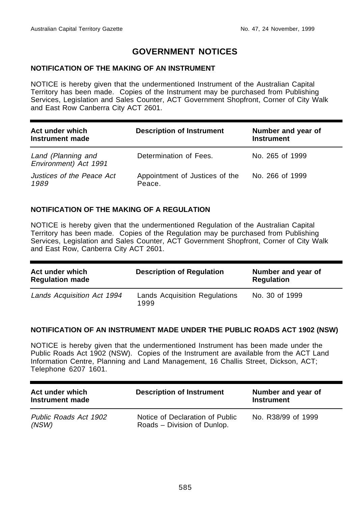# **GOVERNMENT NOTICES**

#### **NOTIFICATION OF THE MAKING OF AN INSTRUMENT**

NOTICE is hereby given that the undermentioned Instrument of the Australian Capital Territory has been made. Copies of the Instrument may be purchased from Publishing Services, Legislation and Sales Counter, ACT Government Shopfront, Corner of City Walk and East Row Canberra City ACT 2601.

| Act under which<br>Instrument made          | <b>Description of Instrument</b>         | Number and year of<br><b>Instrument</b> |
|---------------------------------------------|------------------------------------------|-----------------------------------------|
| Land (Planning and<br>Environment) Act 1991 | Determination of Fees.                   | No. 265 of 1999                         |
| Justices of the Peace Act<br>1989           | Appointment of Justices of the<br>Peace. | No. 266 of 1999                         |

#### **NOTIFICATION OF THE MAKING OF A REGULATION**

NOTICE is hereby given that the undermentioned Regulation of the Australian Capital Territory has been made. Copies of the Regulation may be purchased from Publishing Services, Legislation and Sales Counter, ACT Government Shopfront, Corner of City Walk and East Row, Canberra City ACT 2601.

| Act under which<br><b>Regulation made</b> | <b>Description of Regulation</b>      | Number and year of<br><b>Regulation</b> |
|-------------------------------------------|---------------------------------------|-----------------------------------------|
| Lands Acquisition Act 1994                | Lands Acquisition Regulations<br>1999 | No. 30 of 1999                          |

#### **NOTIFICATION OF AN INSTRUMENT MADE UNDER THE PUBLIC ROADS ACT 1902 (NSW)**

NOTICE is hereby given that the undermentioned Instrument has been made under the Public Roads Act 1902 (NSW). Copies of the Instrument are available from the ACT Land Information Centre, Planning and Land Management, 16 Challis Street, Dickson, ACT; Telephone 6207 1601.

| Act under which<br>Instrument made | <b>Description of Instrument</b>                               | Number and year of<br><b>Instrument</b> |
|------------------------------------|----------------------------------------------------------------|-----------------------------------------|
| Public Roads Act 1902<br>(NSW)     | Notice of Declaration of Public<br>Roads – Division of Dunlop. | No. R38/99 of 1999                      |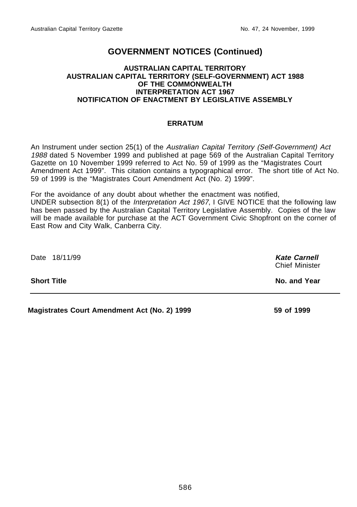#### **AUSTRALIAN CAPITAL TERRITORY AUSTRALIAN CAPITAL TERRITORY (SELF-GOVERNMENT) ACT 1988 OF THE COMMONWEALTH INTERPRETATION ACT 1967 NOTIFICATION OF ENACTMENT BY LEGISLATIVE ASSEMBLY**

#### **ERRATUM**

An Instrument under section 25(1) of the Australian Capital Territory (Self-Government) Act 1988 dated 5 November 1999 and published at page 569 of the Australian Capital Territory Gazette on 10 November 1999 referred to Act No. 59 of 1999 as the "Magistrates Court Amendment Act 1999". This citation contains a typographical error. The short title of Act No. 59 of 1999 is the "Magistrates Court Amendment Act (No. 2) 1999".

For the avoidance of any doubt about whether the enactment was notified, UNDER subsection 8(1) of the Interpretation Act 1967, I GIVE NOTICE that the following law has been passed by the Australian Capital Territory Legislative Assembly. Copies of the law will be made available for purchase at the ACT Government Civic Shopfront on the corner of East Row and City Walk, Canberra City.

Date 18/11/99 **Kate Carnell** Chief Minister **Short Title No. and Year Magistrates Court Amendment Act (No. 2) 1999 59 of 1999**

586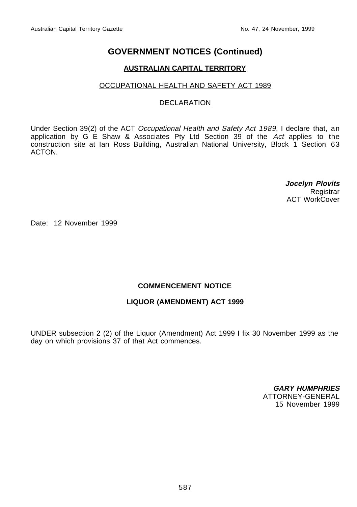#### **AUSTRALIAN CAPITAL TERRITORY**

#### OCCUPATIONAL HEALTH AND SAFETY ACT 1989

#### **DECLARATION**

Under Section 39(2) of the ACT Occupational Health and Safety Act 1989, I declare that, an application by G E Shaw & Associates Pty Ltd Section 39 of the Act applies to the construction site at Ian Ross Building, Australian National University, Block 1 Section 63 ACTON.

> **Jocelyn Plovits Registrar** ACT WorkCover

Date: 12 November 1999

#### **COMMENCEMENT NOTICE**

#### **LIQUOR (AMENDMENT) ACT 1999**

UNDER subsection 2 (2) of the Liquor (Amendment) Act 1999 I fix 30 November 1999 as the day on which provisions 37 of that Act commences.

> **GARY HUMPHRIES** ATTORNEY-GENERAL 15 November 1999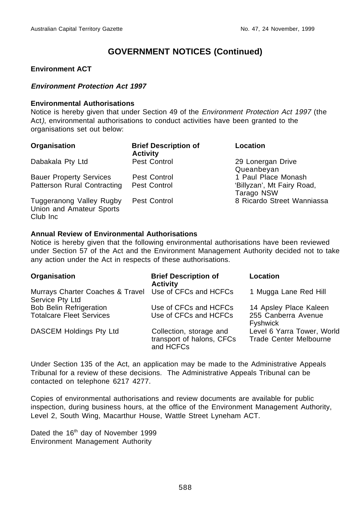#### **Environment ACT**

#### **Environment Protection Act 1997**

#### **Environmental Authorisations**

Notice is hereby given that under Section 49 of the Environment Protection Act 1997 (the Act), environmental authorisations to conduct activities have been granted to the organisations set out below:

| Organisation                                                     | <b>Brief Description of</b><br><b>Activity</b> | Location                                 |
|------------------------------------------------------------------|------------------------------------------------|------------------------------------------|
| Dabakala Pty Ltd                                                 | Pest Control                                   | 29 Lonergan Drive<br>Queanbeyan          |
| <b>Bauer Property Services</b>                                   | Pest Control                                   | 1 Paul Place Monash                      |
| Patterson Rural Contracting                                      | Pest Control                                   | 'Billyzan', Mt Fairy Road,<br>Tarago NSW |
| Tuggeranong Valley Rugby<br>Union and Amateur Sports<br>Club Inc | Pest Control                                   | 8 Ricardo Street Wanniassa               |

#### **Annual Review of Environmental Authorisations**

Notice is hereby given that the following environmental authorisations have been reviewed under Section 57 of the Act and the Environment Management Authority decided not to take any action under the Act in respects of these authorisations.

| Organisation                                                              | <b>Brief Description of</b><br><b>Activity</b>                    | Location                                                         |
|---------------------------------------------------------------------------|-------------------------------------------------------------------|------------------------------------------------------------------|
| Murrays Charter Coaches & Travel Use of CFCs and HCFCs<br>Service Pty Ltd |                                                                   | 1 Mugga Lane Red Hill                                            |
| <b>Bob Belin Refrigeration</b><br><b>Totalcare Fleet Services</b>         | Use of CFCs and HCFCs<br>Use of CFCs and HCFCs                    | 14 Apsley Place Kaleen<br>255 Canberra Avenue<br><b>Fyshwick</b> |
| DASCEM Holdings Pty Ltd                                                   | Collection, storage and<br>transport of halons, CFCs<br>and HCFCs | Level 6 Yarra Tower, World<br><b>Trade Center Melbourne</b>      |

Under Section 135 of the Act, an application may be made to the Administrative Appeals Tribunal for a review of these decisions. The Administrative Appeals Tribunal can be contacted on telephone 6217 4277.

Copies of environmental authorisations and review documents are available for public inspection, during business hours, at the office of the Environment Management Authority, Level 2, South Wing, Macarthur House, Wattle Street Lyneham ACT.

Dated the 16<sup>th</sup> day of November 1999 Environment Management Authority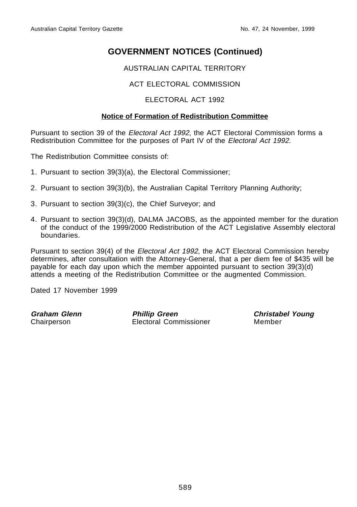AUSTRALIAN CAPITAL TERRITORY

### ACT ELECTORAL COMMISSION

#### ELECTORAL ACT 1992

#### **Notice of Formation of Redistribution Committee**

Pursuant to section 39 of the Electoral Act 1992, the ACT Electoral Commission forms a Redistribution Committee for the purposes of Part IV of the Electoral Act 1992.

The Redistribution Committee consists of:

- 1. Pursuant to section 39(3)(a), the Electoral Commissioner;
- 2. Pursuant to section 39(3)(b), the Australian Capital Territory Planning Authority;
- 3. Pursuant to section 39(3)(c), the Chief Surveyor; and
- 4. Pursuant to section 39(3)(d), DALMA JACOBS, as the appointed member for the duration of the conduct of the 1999/2000 Redistribution of the ACT Legislative Assembly electoral boundaries.

Pursuant to section 39(4) of the Electoral Act 1992, the ACT Electoral Commission hereby determines, after consultation with the Attorney-General, that a per diem fee of \$435 will be payable for each day upon which the member appointed pursuant to section 39(3)(d) attends a meeting of the Redistribution Committee or the augmented Commission.

Dated 17 November 1999

**Graham Glenn**<br> **Chairperson**<br> **Chairperson**<br> **Perfectional Commissioner Perfectional Commissioner Perfectional Member** Electoral Commissioner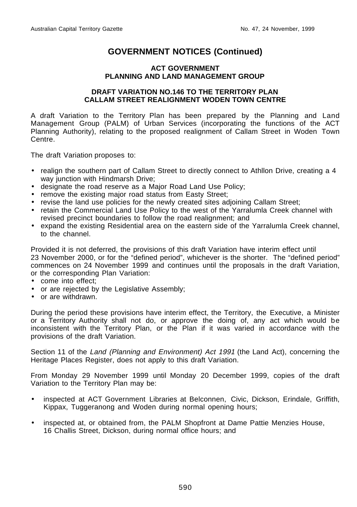#### **ACT GOVERNMENT PLANNING AND LAND MANAGEMENT GROUP**

#### **DRAFT VARIATION NO.146 TO THE TERRITORY PLAN CALLAM STREET REALIGNMENT WODEN TOWN CENTRE**

A draft Variation to the Territory Plan has been prepared by the Planning and Land Management Group (PALM) of Urban Services (incorporating the functions of the ACT Planning Authority), relating to the proposed realignment of Callam Street in Woden Town Centre.

The draft Variation proposes to:

- realign the southern part of Callam Street to directly connect to Athllon Drive, creating a 4 way junction with Hindmarsh Drive;
- designate the road reserve as a Major Road Land Use Policy;
- remove the existing major road status from Easty Street;
- revise the land use policies for the newly created sites adjoining Callam Street;
- retain the Commercial Land Use Policy to the west of the Yarralumla Creek channel with revised precinct boundaries to follow the road realignment; and
- expand the existing Residential area on the eastern side of the Yarralumla Creek channel, to the channel.

Provided it is not deferred, the provisions of this draft Variation have interim effect until 23 November 2000, or for the "defined period", whichever is the shorter. The "defined period" commences on 24 November 1999 and continues until the proposals in the draft Variation, or the corresponding Plan Variation:

- come into effect;
- or are rejected by the Legislative Assembly;
- or are withdrawn.

During the period these provisions have interim effect, the Territory, the Executive, a Minister or a Territory Authority shall not do, or approve the doing of, any act which would be inconsistent with the Territory Plan, or the Plan if it was varied in accordance with the provisions of the draft Variation.

Section 11 of the Land (Planning and Environment) Act 1991 (the Land Act), concerning the Heritage Places Register, does not apply to this draft Variation.

From Monday 29 November 1999 until Monday 20 December 1999, copies of the draft Variation to the Territory Plan may be:

- inspected at ACT Government Libraries at Belconnen, Civic, Dickson, Erindale, Griffith, Kippax, Tuggeranong and Woden during normal opening hours;
- inspected at, or obtained from, the PALM Shopfront at Dame Pattie Menzies House, 16 Challis Street, Dickson, during normal office hours; and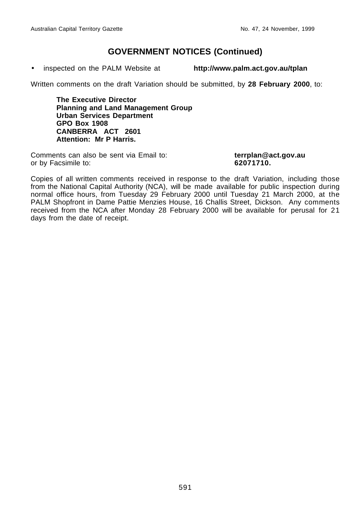• inspected on the PALM Website at **http://www.palm.act.gov.au/tplan**

Written comments on the draft Variation should be submitted, by **28 February 2000**, to:

**The Executive Director Planning and Land Management Group Urban Services Department GPO Box 1908 CANBERRA ACT 2601 Attention: Mr P Harris.**

Comments can also be sent via Email to: **terrplan@act.gov.au** or by Facsimile to: **62071710.**

Copies of all written comments received in response to the draft Variation, including those from the National Capital Authority (NCA), will be made available for public inspection during normal office hours, from Tuesday 29 February 2000 until Tuesday 21 March 2000, at the PALM Shopfront in Dame Pattie Menzies House, 16 Challis Street, Dickson. Any comments received from the NCA after Monday 28 February 2000 will be available for perusal for 21 days from the date of receipt.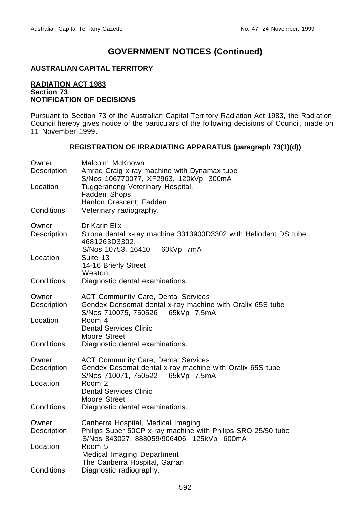#### **AUSTRALIAN CAPITAL TERRITORY**

#### **RADIATION ACT 1983 Section 73 NOTIFICATION OF DECISIONS**

Pursuant to Section 73 of the Australian Capital Territory Radiation Act 1983, the Radiation Council hereby gives notice of the particulars of the following decisions of Council, made on 11 November 1999.

#### **REGISTRATION OF IRRADIATING APPARATUS (paragraph 73(1)(d))**

| Owner<br>Description | Malcolm McKnown<br>Amrad Craig x-ray machine with Dynamax tube<br>S/Nos 106770077, XF2963, 120kVp, 300mA                                       |
|----------------------|------------------------------------------------------------------------------------------------------------------------------------------------|
| Location             | Tuggeranong Veterinary Hospital,<br>Fadden Shops<br>Hanlon Crescent, Fadden                                                                    |
| Conditions           | Veterinary radiography.                                                                                                                        |
| Owner<br>Description | Dr Karin Elix<br>Sirona dental x-ray machine 3313900D3302 with Heliodent DS tube<br>4681263D3302,                                              |
| Location             | S/Nos 10753, 16410<br>60kVp, 7mA<br>Suite 13<br>14-16 Brierly Street<br>Weston                                                                 |
| Conditions           | Diagnostic dental examinations.                                                                                                                |
| Owner<br>Description | <b>ACT Community Care, Dental Services</b><br>Gendex Densomat dental x-ray machine with Oralix 65S tube<br>S/Nos 710075, 750526<br>65kVp 7.5mA |
| Location             | Room 4<br><b>Dental Services Clinic</b><br>Moore Street                                                                                        |
| Conditions           | Diagnostic dental examinations.                                                                                                                |
| Owner<br>Description | <b>ACT Community Care, Dental Services</b><br>Gendex Desomat dental x-ray machine with Oralix 65S tube<br>S/Nos 710071, 750522 65kVp 7.5mA     |
| Location             | Room 2<br><b>Dental Services Clinic</b><br>Moore Street                                                                                        |
| Conditions           | Diagnostic dental examinations.                                                                                                                |
| Owner<br>Description | Canberra Hospital, Medical Imaging<br>Philips Super 50CP x-ray machine with Philips SRO 25/50 tube<br>S/Nos 843027, 888059/906406 125kVp 600mA |
| Location             | Room 5<br>Medical Imaging Department<br>The Canberra Hospital, Garran                                                                          |
| Conditions           | Diagnostic radiography.                                                                                                                        |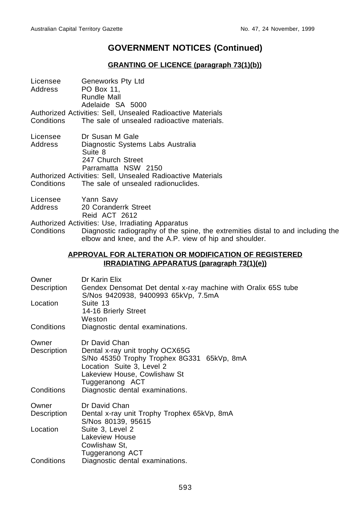#### **GRANTING OF LICENCE (paragraph 73(1)(b))**

| Licensee   | Geneworks Pty Ltd                                           |
|------------|-------------------------------------------------------------|
| Address    | PO Box 11.                                                  |
|            | Rundle Mall                                                 |
|            | Adelaide SA 5000                                            |
|            | Authorized Activities: Sell. Unsealed Radioactive Materials |
| Conditions | The sale of unsealed radioactive materials.                 |
|            |                                                             |

- Licensee Dr Susan M Gale<br>Address Diagnostic System Diagnostic Systems Labs Australia Suite 8 247 Church Street Parramatta NSW 2150
- Authorized Activities: Sell, Unsealed Radioactive Materials Conditions The sale of unsealed radionuclides.
- Licensee Yann Savy<br>Address 20 Corande
- 20 Coranderrk Street
	- Reid ACT 2612
- Authorized Activities: Use, Irradiating Apparatus

Conditions Diagnostic radiography of the spine, the extremities distal to and including the elbow and knee, and the A.P. view of hip and shoulder.

#### **APPROVAL FOR ALTERATION OR MODIFICATION OF REGISTERED IRRADIATING APPARATUS (paragraph 73(1)(e))**

| Owner<br>Description               | Dr Karin Elix<br>Gendex Densomat Det dental x-ray machine with Oralix 65S tube<br>S/Nos 9420938, 9400993 65kVp, 7.5mA                                                          |
|------------------------------------|--------------------------------------------------------------------------------------------------------------------------------------------------------------------------------|
| Location                           | Suite 13<br>14-16 Brierly Street<br>Weston                                                                                                                                     |
| Conditions                         | Diagnostic dental examinations.                                                                                                                                                |
| Owner<br>Description<br>Conditions | Dr David Chan<br>Dental x-ray unit trophy OCX65G<br>S/No 45350 Trophy Trophex 8G331 65kVp, 8mA<br>Location Suite 3, Level 2<br>Lakeview House, Cowlishaw St<br>Tuggeranong ACT |
|                                    | Diagnostic dental examinations.                                                                                                                                                |
| Owner<br>Description               | Dr David Chan<br>Dental x-ray unit Trophy Trophex 65kVp, 8mA<br>S/Nos 80139, 95615                                                                                             |
| Location                           | Suite 3, Level 2<br><b>Lakeview House</b><br>Cowlishaw St,<br>Tuggeranong ACT                                                                                                  |
| Conditions                         | Diagnostic dental examinations.                                                                                                                                                |